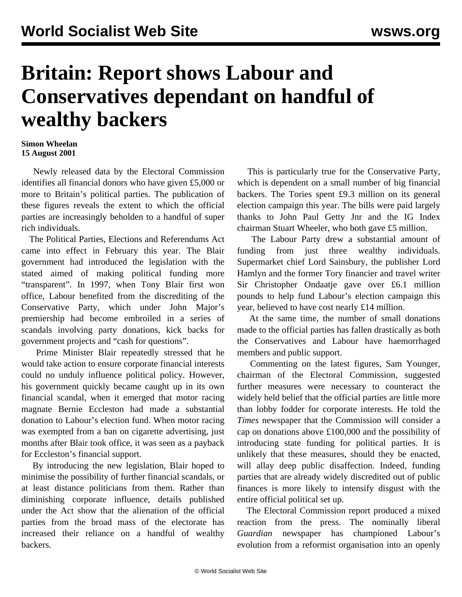## **Britain: Report shows Labour and Conservatives dependant on handful of wealthy backers**

## **Simon Wheelan 15 August 2001**

 Newly released data by the Electoral Commission identifies all financial donors who have given £5,000 or more to Britain's political parties. The publication of these figures reveals the extent to which the official parties are increasingly beholden to a handful of super rich individuals.

 The Political Parties, Elections and Referendums Act came into effect in February this year. The Blair government had introduced the legislation with the stated aimed of making political funding more "transparent". In 1997, when Tony Blair first won office, Labour benefited from the discrediting of the Conservative Party, which under John Major's premiership had become embroiled in a series of scandals involving party donations, kick backs for government projects and "cash for questions".

 Prime Minister Blair repeatedly stressed that he would take action to ensure corporate financial interests could no unduly influence political policy. However, his government quickly became caught up in its own financial scandal, when it emerged that motor racing magnate Bernie Eccleston had made a substantial donation to Labour's election fund. When motor racing was exempted from a ban on cigarette advertising, just months after Blair took office, it was seen as a payback for Eccleston's financial support.

 By introducing the new legislation, Blair hoped to minimise the possibility of further financial scandals, or at least distance politicians from them. Rather than diminishing corporate influence, details published under the Act show that the alienation of the official parties from the broad mass of the electorate has increased their reliance on a handful of wealthy backers.

 This is particularly true for the Conservative Party, which is dependent on a small number of big financial backers. The Tories spent £9.3 million on its general election campaign this year. The bills were paid largely thanks to John Paul Getty Jnr and the IG Index chairman Stuart Wheeler, who both gave £5 million.

 The Labour Party drew a substantial amount of funding from just three wealthy individuals. Supermarket chief Lord Sainsbury, the publisher Lord Hamlyn and the former Tory financier and travel writer Sir Christopher Ondaatje gave over £6.1 million pounds to help fund Labour's election campaign this year, believed to have cost nearly £14 million.

 At the same time, the number of small donations made to the official parties has fallen drastically as both the Conservatives and Labour have haemorrhaged members and public support.

 Commenting on the latest figures, Sam Younger, chairman of the Electoral Commission, suggested further measures were necessary to counteract the widely held belief that the official parties are little more than lobby fodder for corporate interests. He told the *Times* newspaper that the Commission will consider a cap on donations above £100,000 and the possibility of introducing state funding for political parties. It is unlikely that these measures, should they be enacted, will allay deep public disaffection. Indeed, funding parties that are already widely discredited out of public finances is more likely to intensify disgust with the entire official political set up.

 The Electoral Commission report produced a mixed reaction from the press. The nominally liberal *Guardian* newspaper has championed Labour's evolution from a reformist organisation into an openly